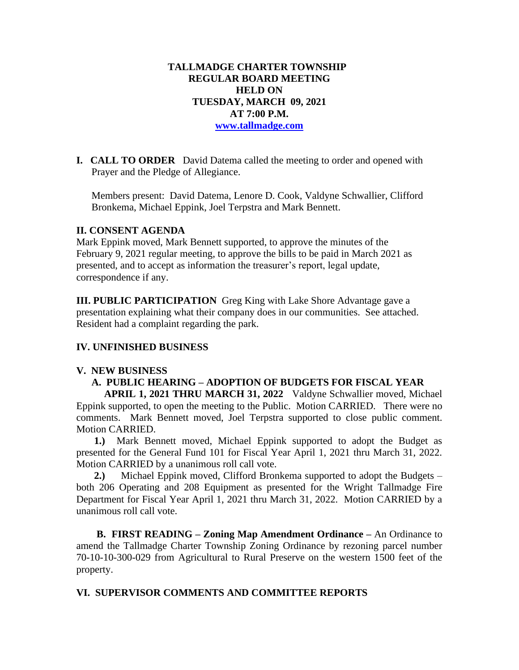### **TALLMADGE CHARTER TOWNSHIP REGULAR BOARD MEETING HELD ON TUESDAY, MARCH 09, 2021 AT 7:00 P.M. [www.tallmadge.com](http://www.tallmadge.com/)**

**I. CALL TO ORDER** David Datema called the meeting to order and opened with Prayer and the Pledge of Allegiance.

Members present: David Datema, Lenore D. Cook, Valdyne Schwallier, Clifford Bronkema, Michael Eppink, Joel Terpstra and Mark Bennett.

### **II. CONSENT AGENDA**

Mark Eppink moved, Mark Bennett supported, to approve the minutes of the February 9, 2021 regular meeting, to approve the bills to be paid in March 2021 as presented, and to accept as information the treasurer's report, legal update, correspondence if any.

**III. PUBLIC PARTICIPATION** Greg King with Lake Shore Advantage gave a presentation explaining what their company does in our communities. See attached. Resident had a complaint regarding the park.

### **IV. UNFINISHED BUSINESS**

#### **V. NEW BUSINESS**

# **A. PUBLIC HEARING – ADOPTION OF BUDGETS FOR FISCAL YEAR**

 **APRIL 1, 2021 THRU MARCH 31, 2022** Valdyne Schwallier moved, Michael Eppink supported, to open the meeting to the Public. Motion CARRIED. There were no comments. Mark Bennett moved, Joel Terpstra supported to close public comment. Motion CARRIED.

 **1.)** Mark Bennett moved, Michael Eppink supported to adopt the Budget as presented for the General Fund 101 for Fiscal Year April 1, 2021 thru March 31, 2022. Motion CARRIED by a unanimous roll call vote.

 **2.)** Michael Eppink moved, Clifford Bronkema supported to adopt the Budgets – both 206 Operating and 208 Equipment as presented for the Wright Tallmadge Fire Department for Fiscal Year April 1, 2021 thru March 31, 2022. Motion CARRIED by a unanimous roll call vote.

 **B. FIRST READING – Zoning Map Amendment Ordinance –** An Ordinance to amend the Tallmadge Charter Township Zoning Ordinance by rezoning parcel number 70-10-10-300-029 from Agricultural to Rural Preserve on the western 1500 feet of the property.

### **VI. SUPERVISOR COMMENTS AND COMMITTEE REPORTS**